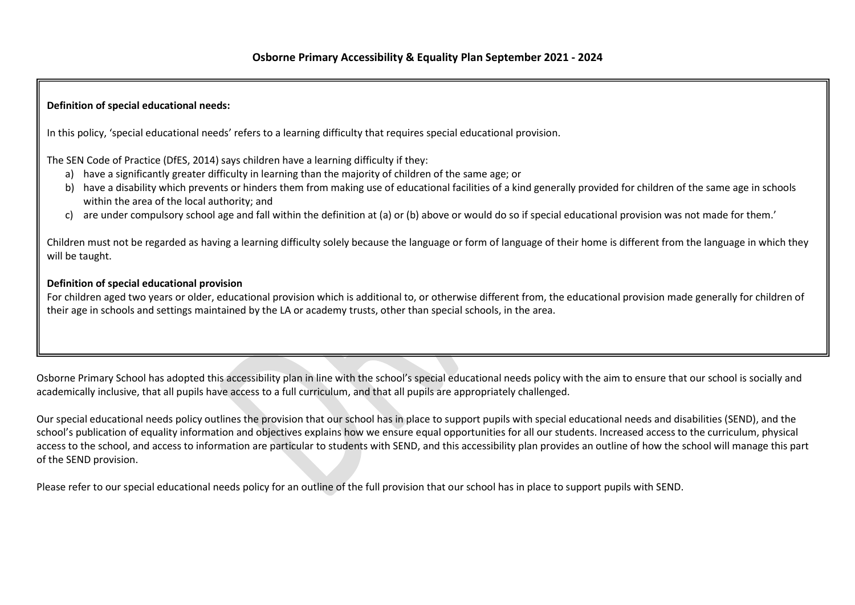## Definition of special educational needs:

In this policy, 'special educational needs' refers to a learning difficulty that requires special educational provision.

The SEN Code of Practice (DfES, 2014) says children have a learning difficulty if they:

- a) have a significantly greater difficulty in learning than the majority of children of the same age; or
- b) have a disability which prevents or hinders them from making use of educational facilities of a kind generally provided for children of the same age in schools within the area of the local authority; and
- c) are under compulsory school age and fall within the definition at (a) or (b) above or would do so if special educational provision was not made for them.'

Children must not be regarded as having a learning difficulty solely because the language or form of language of their home is different from the language in which they will be taught.

### Definition of special educational provision

For children aged two years or older, educational provision which is additional to, or otherwise different from, the educational provision made generally for children of their age in schools and settings maintained by the LA or academy trusts, other than special schools, in the area.

Osborne Primary School has adopted this accessibility plan in line with the school's special educational needs policy with the aim to ensure that our school is socially and academically inclusive, that all pupils have access to a full curriculum, and that all pupils are appropriately challenged.

Our special educational needs policy outlines the provision that our school has in place to support pupils with special educational needs and disabilities (SEND), and the school's publication of equality information and objectives explains how we ensure equal opportunities for all our students. Increased access to the curriculum, physical access to the school, and access to information are particular to students with SEND, and this accessibility plan provides an outline of how the school will manage this part of the SEND provision.

Please refer to our special educational needs policy for an outline of the full provision that our school has in place to support pupils with SEND.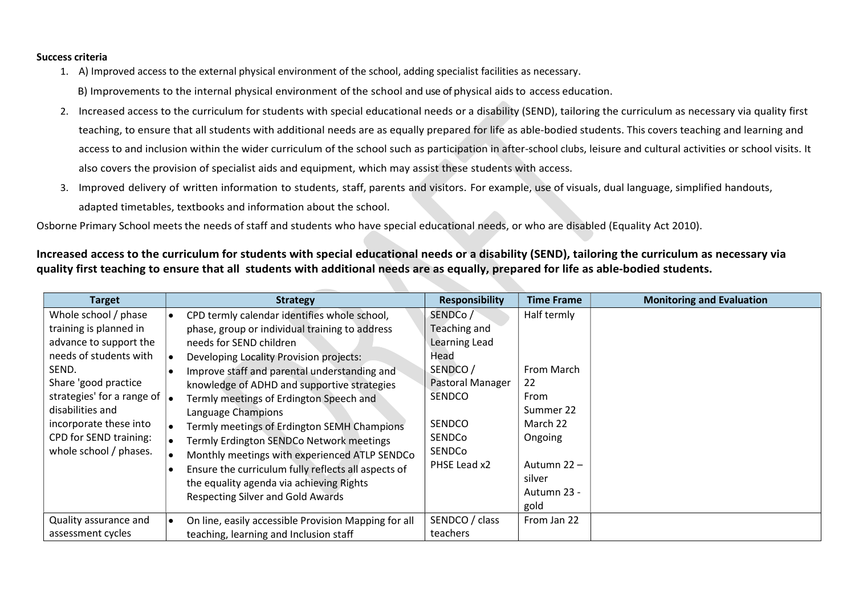#### Success criteria

1. A) Improved access to the external physical environment of the school, adding specialist facilities as necessary.

B) Improvements to the internal physical environment of the school and use of physical aids to access education.

- 2. Increased access to the curriculum for students with special educational needs or a disability (SEND), tailoring the curriculum as necessary via quality first teaching, to ensure that all students with additional needs are as equally prepared for life as able-bodied students. This covers teaching and learning and access to and inclusion within the wider curriculum of the school such as participation in after-school clubs, leisure and cultural activities or school visits. It also covers the provision of specialist aids and equipment, which may assist these students with access.
- 3. Improved delivery of written information to students, staff, parents and visitors. For example, use of visuals, dual language, simplified handouts, adapted timetables, textbooks and information about the school.

Osborne Primary School meets the needs of staff and students who have special educational needs, or who are disabled (Equality Act 2010).

## Increased access to the curriculum for students with special educational needs or a disability (SEND), tailoring the curriculum as necessary via quality first teaching to ensure that all students with additional needs are as equally, prepared for life as able-bodied students.

| <b>Target</b>                        | <b>Strategy</b>                                                   | <b>Responsibility</b> | <b>Time Frame</b> | <b>Monitoring and Evaluation</b> |
|--------------------------------------|-------------------------------------------------------------------|-----------------------|-------------------|----------------------------------|
| Whole school / phase                 | CPD termly calendar identifies whole school,<br>$\bullet$         | SENDCo/               | Half termly       |                                  |
| training is planned in               | phase, group or individual training to address                    | Teaching and          |                   |                                  |
| advance to support the               | needs for SEND children                                           | Learning Lead         |                   |                                  |
| needs of students with               | Developing Locality Provision projects:                           | Head                  |                   |                                  |
| SEND.                                | Improve staff and parental understanding and                      | SENDCO/               | From March        |                                  |
| Share 'good practice                 | knowledge of ADHD and supportive strategies                       | Pastoral Manager      | 22                |                                  |
| strategies' for a range of $\vert$ . | Termly meetings of Erdington Speech and                           | SENDCO                | From              |                                  |
| disabilities and                     | Language Champions                                                |                       | Summer 22         |                                  |
| incorporate these into               | Termly meetings of Erdington SEMH Champions<br>$\bullet$          | SENDCO                | March 22          |                                  |
| CPD for SEND training:               | Termly Erdington SENDCo Network meetings                          | SENDCo                | Ongoing           |                                  |
| whole school / phases.               | Monthly meetings with experienced ATLP SENDCo<br>$\bullet$        | SENDCo                |                   |                                  |
|                                      | Ensure the curriculum fully reflects all aspects of               | PHSE Lead x2          | Autumn 22 -       |                                  |
|                                      | the equality agenda via achieving Rights                          |                       | silver            |                                  |
|                                      | <b>Respecting Silver and Gold Awards</b>                          |                       | Autumn 23 -       |                                  |
|                                      |                                                                   |                       | gold              |                                  |
| Quality assurance and                | On line, easily accessible Provision Mapping for all<br>$\bullet$ | SENDCO / class        | From Jan 22       |                                  |
| assessment cycles                    | teaching, learning and Inclusion staff                            | teachers              |                   |                                  |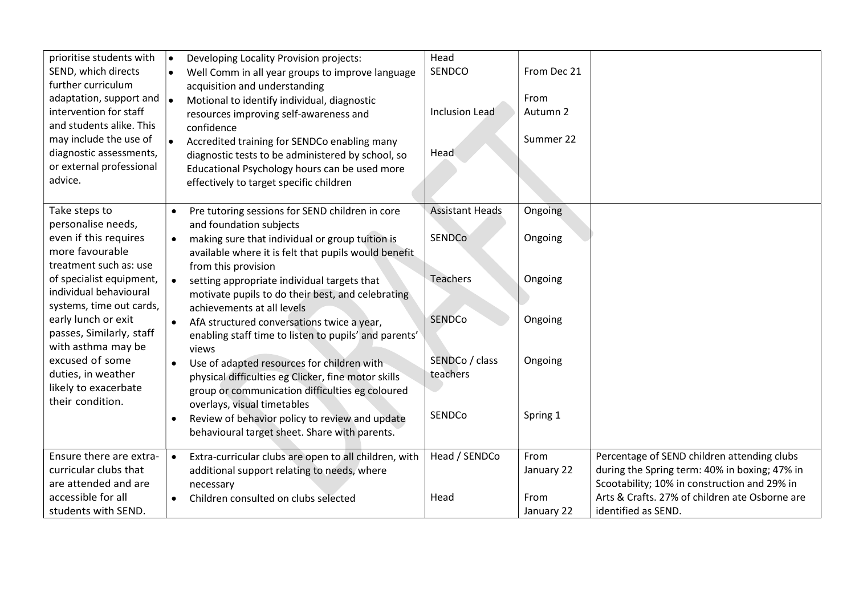| prioritise students with<br>SEND, which directs<br>further curriculum<br>adaptation, support and<br>intervention for staff<br>and students alike. This<br>may include the use of<br>diagnostic assessments,<br>or external professional<br>advice. | $\bullet$<br>Developing Locality Provision projects:<br>Well Comm in all year groups to improve language<br>$\bullet$<br>acquisition and understanding<br>Motional to identify individual, diagnostic<br>l e<br>resources improving self-awareness and<br>confidence<br>Accredited training for SENDCo enabling many<br>diagnostic tests to be administered by school, so<br>Educational Psychology hours can be used more<br>effectively to target specific children | Head<br>SENDCO<br><b>Inclusion Lead</b><br>Head | From Dec 21<br>From<br>Autumn 2<br>Summer 22 |                                                                                                                                              |
|----------------------------------------------------------------------------------------------------------------------------------------------------------------------------------------------------------------------------------------------------|-----------------------------------------------------------------------------------------------------------------------------------------------------------------------------------------------------------------------------------------------------------------------------------------------------------------------------------------------------------------------------------------------------------------------------------------------------------------------|-------------------------------------------------|----------------------------------------------|----------------------------------------------------------------------------------------------------------------------------------------------|
| Take steps to<br>personalise needs,<br>even if this requires<br>more favourable                                                                                                                                                                    | Pre tutoring sessions for SEND children in core<br>$\bullet$<br>and foundation subjects<br>making sure that individual or group tuition is<br>$\bullet$<br>available where it is felt that pupils would benefit                                                                                                                                                                                                                                                       | <b>Assistant Heads</b><br>SENDCo                | Ongoing<br>Ongoing                           |                                                                                                                                              |
| treatment such as: use<br>of specialist equipment,<br>individual behavioural<br>systems, time out cards,                                                                                                                                           | from this provision<br>setting appropriate individual targets that<br>$\bullet$<br>motivate pupils to do their best, and celebrating<br>achievements at all levels                                                                                                                                                                                                                                                                                                    | Teachers                                        | Ongoing                                      |                                                                                                                                              |
| early lunch or exit<br>passes, Similarly, staff<br>with asthma may be                                                                                                                                                                              | AfA structured conversations twice a year,<br>$\bullet$<br>enabling staff time to listen to pupils' and parents'<br>views                                                                                                                                                                                                                                                                                                                                             | <b>SENDCo</b>                                   | Ongoing                                      |                                                                                                                                              |
| excused of some<br>duties, in weather<br>likely to exacerbate<br>their condition.                                                                                                                                                                  | Use of adapted resources for children with<br>$\bullet$<br>physical difficulties eg Clicker, fine motor skills<br>group or communication difficulties eg coloured                                                                                                                                                                                                                                                                                                     | SENDCo / class<br>teachers                      | Ongoing                                      |                                                                                                                                              |
|                                                                                                                                                                                                                                                    | overlays, visual timetables<br>Review of behavior policy to review and update<br>$\bullet$<br>behavioural target sheet. Share with parents.                                                                                                                                                                                                                                                                                                                           | SENDCo                                          | Spring 1                                     |                                                                                                                                              |
| Ensure there are extra-<br>curricular clubs that<br>are attended and are                                                                                                                                                                           | Extra-curricular clubs are open to all children, with<br>$\bullet$<br>additional support relating to needs, where<br>necessary                                                                                                                                                                                                                                                                                                                                        | Head / SENDCo                                   | From<br>January 22                           | Percentage of SEND children attending clubs<br>during the Spring term: 40% in boxing; 47% in<br>Scootability; 10% in construction and 29% in |
| accessible for all<br>students with SEND.                                                                                                                                                                                                          | Children consulted on clubs selected<br>$\bullet$                                                                                                                                                                                                                                                                                                                                                                                                                     | Head                                            | From<br>January 22                           | Arts & Crafts. 27% of children ate Osborne are<br>identified as SEND.                                                                        |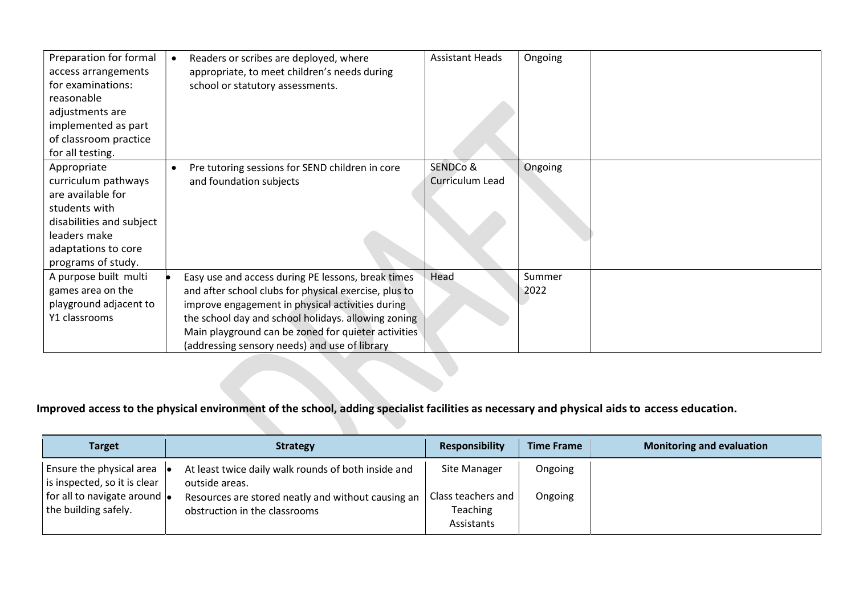| Preparation for formal<br>access arrangements<br>for examinations:<br>reasonable<br>adjustments are<br>implemented as part<br>of classroom practice<br>for all testing. | Readers or scribes are deployed, where<br>appropriate, to meet children's needs during<br>school or statutory assessments.                                                                                                                                                                                                     | <b>Assistant Heads</b>      | Ongoing        |
|-------------------------------------------------------------------------------------------------------------------------------------------------------------------------|--------------------------------------------------------------------------------------------------------------------------------------------------------------------------------------------------------------------------------------------------------------------------------------------------------------------------------|-----------------------------|----------------|
| Appropriate<br>curriculum pathways<br>are available for<br>students with<br>disabilities and subject<br>leaders make<br>adaptations to core<br>programs of study.       | Pre tutoring sessions for SEND children in core<br>$\bullet$<br>and foundation subjects                                                                                                                                                                                                                                        | SENDCo &<br>Curriculum Lead | Ongoing        |
| A purpose built multi<br>games area on the<br>playground adjacent to<br>Y1 classrooms                                                                                   | Easy use and access during PE lessons, break times<br>and after school clubs for physical exercise, plus to<br>improve engagement in physical activities during<br>the school day and school holidays. allowing zoning<br>Main playground can be zoned for quieter activities<br>(addressing sensory needs) and use of library | Head                        | Summer<br>2022 |

# Improved access to the physical environment of the school, adding specialist facilities as necessary and physical aids to access education.

| <b>Target</b>                                                                                                            | <b>Strategy</b>                                                                                                                                              | <b>Responsibility</b>                                        | <b>Time Frame</b>  | <b>Monitoring and evaluation</b> |
|--------------------------------------------------------------------------------------------------------------------------|--------------------------------------------------------------------------------------------------------------------------------------------------------------|--------------------------------------------------------------|--------------------|----------------------------------|
| Ensure the physical area<br>. .<br>is inspected, so it is clear<br>for all to navigate around  .<br>the building safely. | At least twice daily walk rounds of both inside and<br>outside areas.<br>Resources are stored neatly and without causing an<br>obstruction in the classrooms | Site Manager<br>Class teachers and<br>Teaching<br>Assistants | Ongoing<br>Ongoing |                                  |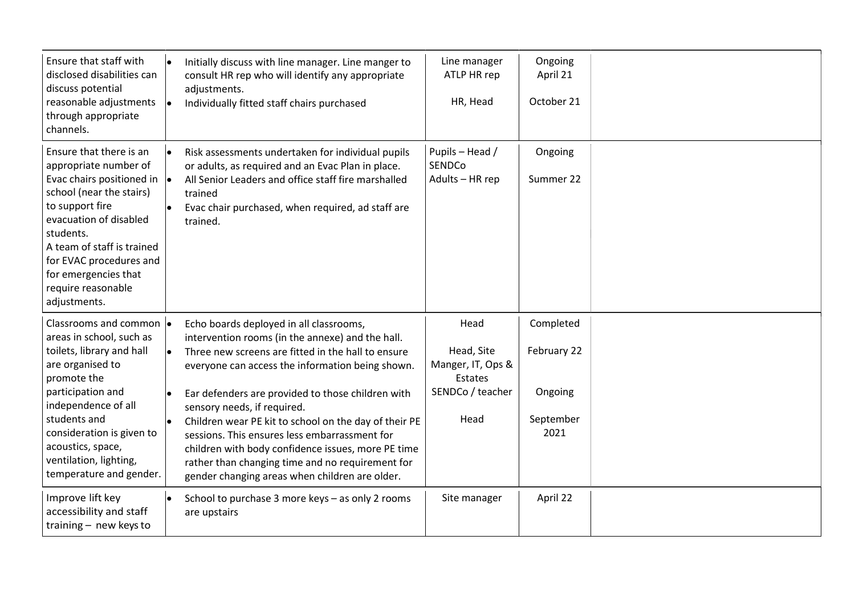| Ensure that staff with<br>disclosed disabilities can<br>discuss potential<br>reasonable adjustments<br>through appropriate<br>channels.                                                                                                                                                                          | Initially discuss with line manager. Line manger to<br>le.<br>consult HR rep who will identify any appropriate<br>adjustments.<br>Individually fitted staff chairs purchased<br>le.                                                                                 | Line manager<br>ATLP HR rep<br>HR, Head             | Ongoing<br>April 21<br>October 21 |  |
|------------------------------------------------------------------------------------------------------------------------------------------------------------------------------------------------------------------------------------------------------------------------------------------------------------------|---------------------------------------------------------------------------------------------------------------------------------------------------------------------------------------------------------------------------------------------------------------------|-----------------------------------------------------|-----------------------------------|--|
| Ensure that there is an<br>appropriate number of<br>Evac chairs positioned in $\vert \bullet \vert$<br>school (near the stairs)<br>to support fire<br>evacuation of disabled<br>students.<br>A team of staff is trained<br>for EVAC procedures and<br>for emergencies that<br>require reasonable<br>adjustments. | Risk assessments undertaken for individual pupils<br>$\bullet$<br>or adults, as required and an Evac Plan in place.<br>All Senior Leaders and office staff fire marshalled<br>trained<br>Evac chair purchased, when required, ad staff are<br>$\bullet$<br>trained. | Pupils - Head /<br><b>SENDCo</b><br>Adults - HR rep | Ongoing<br>Summer 22              |  |
| Classrooms and common  .<br>areas in school, such as                                                                                                                                                                                                                                                             | Echo boards deployed in all classrooms,<br>intervention rooms (in the annexe) and the hall.                                                                                                                                                                         | Head                                                | Completed                         |  |
| toilets, library and hall<br>are organised to<br>promote the                                                                                                                                                                                                                                                     | Three new screens are fitted in the hall to ensure<br>le.<br>everyone can access the information being shown.                                                                                                                                                       | Head, Site<br>Manger, IT, Ops &<br>Estates          | February 22                       |  |
| participation and<br>independence of all                                                                                                                                                                                                                                                                         | Ear defenders are provided to those children with<br>$\bullet$<br>sensory needs, if required.                                                                                                                                                                       | SENDCo / teacher                                    | Ongoing                           |  |
| students and<br>consideration is given to<br>acoustics, space,<br>ventilation, lighting,<br>temperature and gender.                                                                                                                                                                                              | Children wear PE kit to school on the day of their PE<br>sessions. This ensures less embarrassment for<br>children with body confidence issues, more PE time<br>rather than changing time and no requirement for<br>gender changing areas when children are older.  | Head                                                | September<br>2021                 |  |
| Improve lift key<br>accessibility and staff<br>training - new keys to                                                                                                                                                                                                                                            | School to purchase 3 more keys - as only 2 rooms<br>$\bullet$<br>are upstairs                                                                                                                                                                                       | Site manager                                        | April 22                          |  |